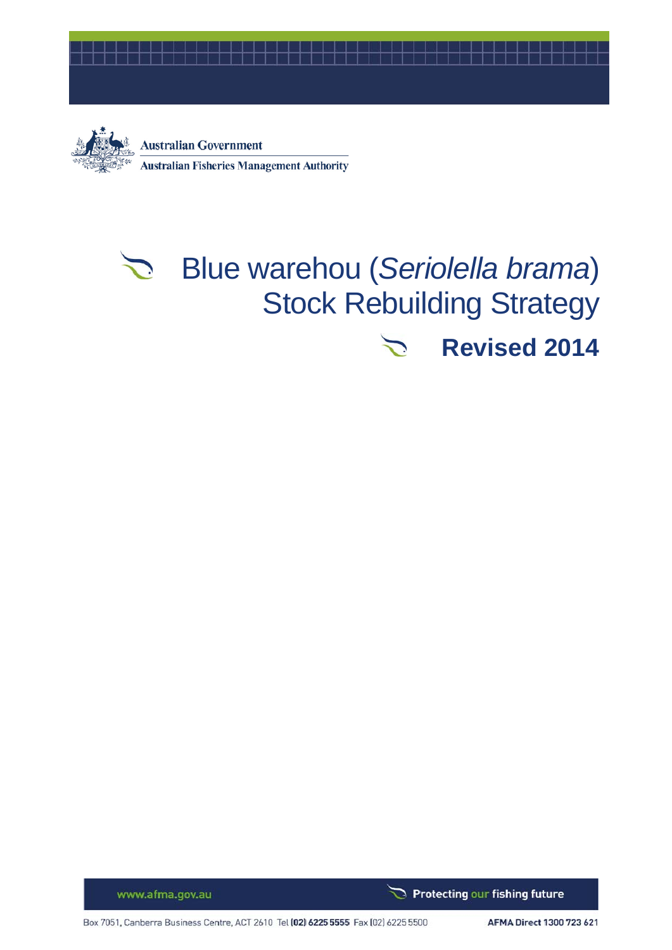



# Blue warehou (*Seriolella brama*)  $\sum_{i=1}^n$ Stock Rebuilding Strategy **Revised 2014**

www.afma.gov.au

Box 7051, Canberra Business Centre, ACT 2610 Tel (02) 6225 5555 Fax (02) 6225 5500

AFMA Direct 1300 723 621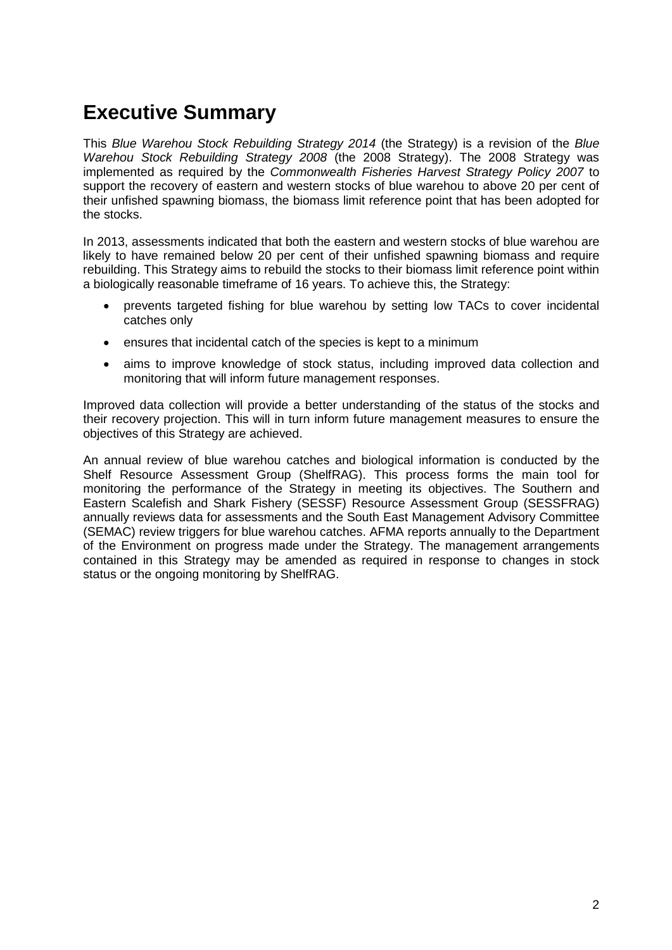## **Executive Summary**

This *Blue Warehou Stock Rebuilding Strategy 2014* (the Strategy) is a revision of the *Blue Warehou Stock Rebuilding Strategy 2008* (the 2008 Strategy). The 2008 Strategy was implemented as required by the *Commonwealth Fisheries Harvest Strategy Policy 2007* to support the recovery of eastern and western stocks of blue warehou to above 20 per cent of their unfished spawning biomass, the biomass limit reference point that has been adopted for the stocks.

In 2013, assessments indicated that both the eastern and western stocks of blue warehou are likely to have remained below 20 per cent of their unfished spawning biomass and require rebuilding. This Strategy aims to rebuild the stocks to their biomass limit reference point within a biologically reasonable timeframe of 16 years. To achieve this, the Strategy:

- prevents targeted fishing for blue warehou by setting low TACs to cover incidental catches only
- ensures that incidental catch of the species is kept to a minimum
- aims to improve knowledge of stock status, including improved data collection and monitoring that will inform future management responses.

Improved data collection will provide a better understanding of the status of the stocks and their recovery projection. This will in turn inform future management measures to ensure the objectives of this Strategy are achieved.

An annual review of blue warehou catches and biological information is conducted by the Shelf Resource Assessment Group (ShelfRAG). This process forms the main tool for monitoring the performance of the Strategy in meeting its objectives. The Southern and Eastern Scalefish and Shark Fishery (SESSF) Resource Assessment Group (SESSFRAG) annually reviews data for assessments and the South East Management Advisory Committee (SEMAC) review triggers for blue warehou catches. AFMA reports annually to the Department of the Environment on progress made under the Strategy. The management arrangements contained in this Strategy may be amended as required in response to changes in stock status or the ongoing monitoring by ShelfRAG.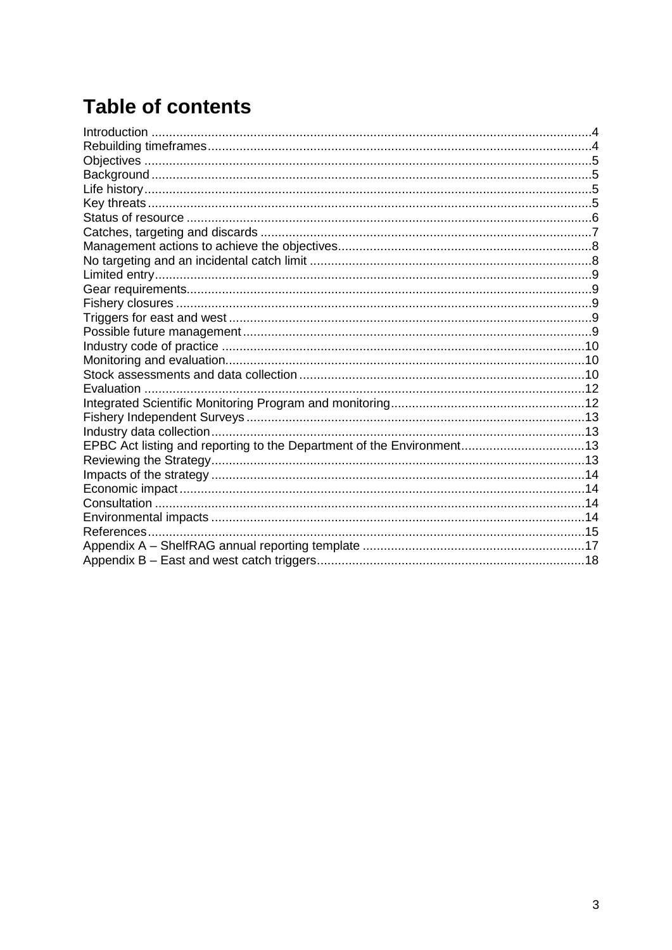# **Table of contents**

| EPBC Act listing and reporting to the Department of the Environment13 |  |
|-----------------------------------------------------------------------|--|
|                                                                       |  |
|                                                                       |  |
|                                                                       |  |
|                                                                       |  |
|                                                                       |  |
|                                                                       |  |
|                                                                       |  |
|                                                                       |  |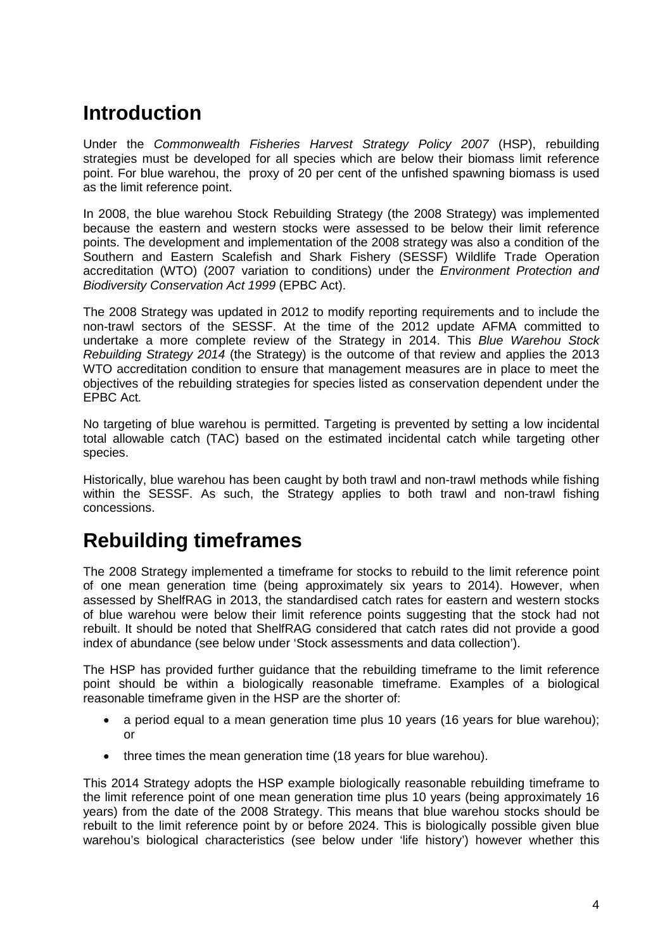## <span id="page-3-0"></span>**Introduction**

Under the *Commonwealth Fisheries Harvest Strategy Policy 2007* (HSP), rebuilding strategies must be developed for all species which are below their biomass limit reference point. For blue warehou, the proxy of 20 per cent of the unfished spawning biomass is used as the limit reference point.

In 2008, the blue warehou Stock Rebuilding Strategy (the 2008 Strategy) was implemented because the eastern and western stocks were assessed to be below their limit reference points. The development and implementation of the 2008 strategy was also a condition of the Southern and Eastern Scalefish and Shark Fishery (SESSF) Wildlife Trade Operation accreditation (WTO) (2007 variation to conditions) under the *Environment Protection and Biodiversity Conservation Act 1999* (EPBC Act).

The 2008 Strategy was updated in 2012 to modify reporting requirements and to include the non-trawl sectors of the SESSF. At the time of the 2012 update AFMA committed to undertake a more complete review of the Strategy in 2014. This *Blue Warehou Stock Rebuilding Strategy 2014* (the Strategy) is the outcome of that review and applies the 2013 WTO accreditation condition to ensure that management measures are in place to meet the objectives of the rebuilding strategies for species listed as conservation dependent under the EPBC Act*.*

No targeting of blue warehou is permitted. Targeting is prevented by setting a low incidental total allowable catch (TAC) based on the estimated incidental catch while targeting other species.

Historically, blue warehou has been caught by both trawl and non-trawl methods while fishing within the SESSF. As such, the Strategy applies to both trawl and non-trawl fishing concessions.

## <span id="page-3-1"></span>**Rebuilding timeframes**

The 2008 Strategy implemented a timeframe for stocks to rebuild to the limit reference point of one mean generation time (being approximately six years to 2014). However, when assessed by ShelfRAG in 2013, the standardised catch rates for eastern and western stocks of blue warehou were below their limit reference points suggesting that the stock had not rebuilt. It should be noted that ShelfRAG considered that catch rates did not provide a good index of abundance (see below under 'Stock assessments and data collection').

The HSP has provided further guidance that the rebuilding timeframe to the limit reference point should be within a biologically reasonable timeframe. Examples of a biological reasonable timeframe given in the HSP are the shorter of:

- a period equal to a mean generation time plus 10 years (16 years for blue warehou); or
- three times the mean generation time (18 years for blue warehou).

This 2014 Strategy adopts the HSP example biologically reasonable rebuilding timeframe to the limit reference point of one mean generation time plus 10 years (being approximately 16 years) from the date of the 2008 Strategy. This means that blue warehou stocks should be rebuilt to the limit reference point by or before 2024. This is biologically possible given blue warehou's biological characteristics (see below under 'life history') however whether this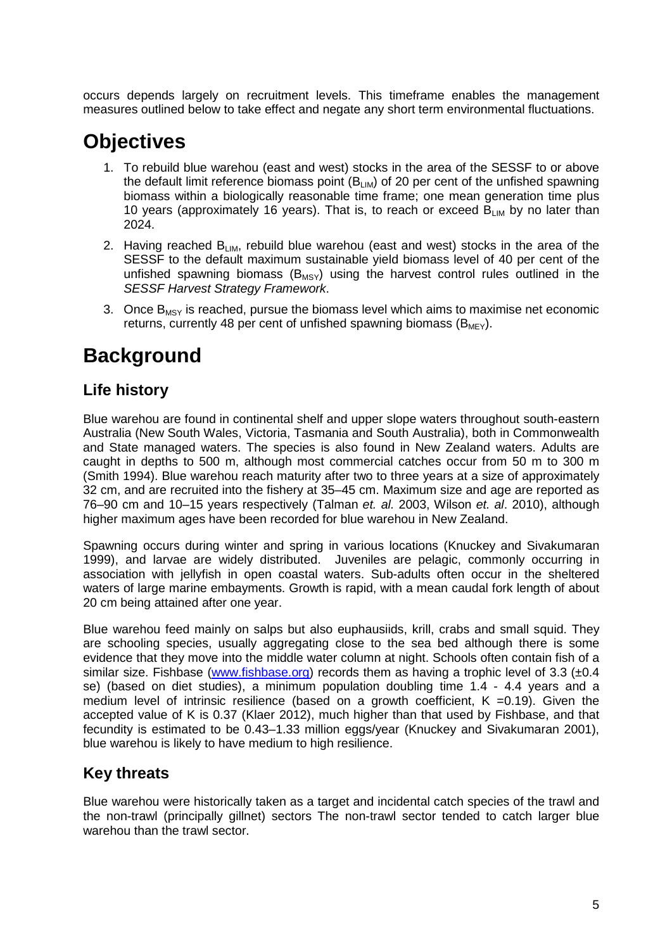occurs depends largely on recruitment levels. This timeframe enables the management measures outlined below to take effect and negate any short term environmental fluctuations.

## <span id="page-4-0"></span>**Objectives**

- 1. To rebuild blue warehou (east and west) stocks in the area of the SESSF to or above the default limit reference biomass point  $(B_{LIM})$  of 20 per cent of the unfished spawning biomass within a biologically reasonable time frame; one mean generation time plus 10 years (approximately 16 years). That is, to reach or exceed  $B_{LIM}$  by no later than 2024.
- 2. Having reached  $B_{LM}$ , rebuild blue warehou (east and west) stocks in the area of the SESSF to the default maximum sustainable yield biomass level of 40 per cent of the unfished spawning biomass  $(B_{MSY})$  using the harvest control rules outlined in the *SESSF Harvest Strategy Framework*.
- 3. Once  $B_{MSV}$  is reached, pursue the biomass level which aims to maximise net economic returns, currently 48 per cent of unfished spawning biomass ( $B_{MEV}$ ).

## <span id="page-4-1"></span>**Background**

### <span id="page-4-2"></span>**Life history**

Blue warehou are found in continental shelf and upper slope waters throughout south-eastern Australia (New South Wales, Victoria, Tasmania and South Australia), both in Commonwealth and State managed waters. The species is also found in New Zealand waters. Adults are caught in depths to 500 m, although most commercial catches occur from 50 m to 300 m (Smith 1994). Blue warehou reach maturity after two to three years at a size of approximately 32 cm, and are recruited into the fishery at 35–45 cm. Maximum size and age are reported as 76–90 cm and 10–15 years respectively (Talman *et. al.* 2003, Wilson *et. al*. 2010), although higher maximum ages have been recorded for blue warehou in New Zealand.

Spawning occurs during winter and spring in various locations (Knuckey and Sivakumaran 1999), and larvae are widely distributed. Juveniles are pelagic, commonly occurring in association with jellyfish in open coastal waters. Sub-adults often occur in the sheltered waters of large marine embayments. Growth is rapid, with a mean caudal fork length of about 20 cm being attained after one year.

Blue warehou feed mainly on salps but also euphausiids, krill, crabs and small squid. They are schooling species, usually aggregating close to the sea bed although there is some evidence that they move into the middle water column at night. Schools often contain fish of a similar size. Fishbase [\(www.fishbase.org\)](http://www.fishbase.org/) records them as having a trophic level of 3.3  $(\pm 0.4)$ se) (based on diet studies), a minimum population doubling time 1.4 - 4.4 years and a medium level of intrinsic resilience (based on a growth coefficient,  $K = 0.19$ ). Given the accepted value of K is 0.37 (Klaer 2012), much higher than that used by Fishbase, and that fecundity is estimated to be 0.43–1.33 million eggs/year (Knuckey and Sivakumaran 2001), blue warehou is likely to have medium to high resilience.

### <span id="page-4-3"></span>**Key threats**

Blue warehou were historically taken as a target and incidental catch species of the trawl and the non-trawl (principally gillnet) sectors The non-trawl sector tended to catch larger blue warehou than the trawl sector.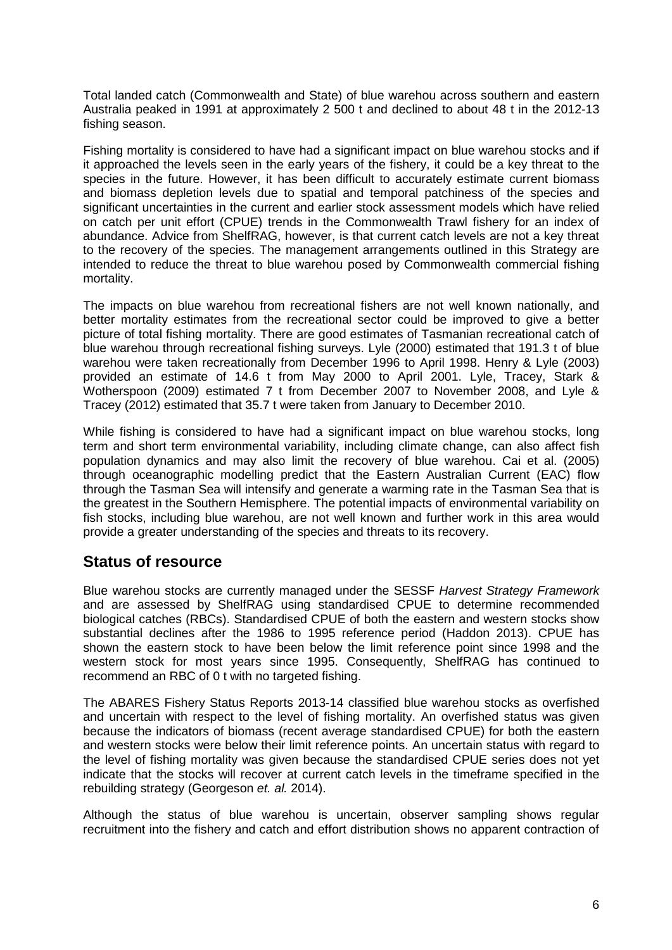Total landed catch (Commonwealth and State) of blue warehou across southern and eastern Australia peaked in 1991 at approximately 2 500 t and declined to about 48 t in the 2012-13 fishing season.

Fishing mortality is considered to have had a significant impact on blue warehou stocks and if it approached the levels seen in the early years of the fishery, it could be a key threat to the species in the future. However, it has been difficult to accurately estimate current biomass and biomass depletion levels due to spatial and temporal patchiness of the species and significant uncertainties in the current and earlier stock assessment models which have relied on catch per unit effort (CPUE) trends in the Commonwealth Trawl fishery for an index of abundance. Advice from ShelfRAG, however, is that current catch levels are not a key threat to the recovery of the species. The management arrangements outlined in this Strategy are intended to reduce the threat to blue warehou posed by Commonwealth commercial fishing mortality.

The impacts on blue warehou from recreational fishers are not well known nationally, and better mortality estimates from the recreational sector could be improved to give a better picture of total fishing mortality. There are good estimates of Tasmanian recreational catch of blue warehou through recreational fishing surveys. Lyle (2000) estimated that 191.3 t of blue warehou were taken recreationally from December 1996 to April 1998. Henry & Lyle (2003) provided an estimate of 14.6 t from May 2000 to April 2001. Lyle, Tracey, Stark & Wotherspoon (2009) estimated 7 t from December 2007 to November 2008, and Lyle & Tracey (2012) estimated that 35.7 t were taken from January to December 2010.

While fishing is considered to have had a significant impact on blue warehou stocks, long term and short term environmental variability, including climate change, can also affect fish population dynamics and may also limit the recovery of blue warehou. Cai et al. (2005) through oceanographic modelling predict that the Eastern Australian Current (EAC) flow through the Tasman Sea will intensify and generate a warming rate in the Tasman Sea that is the greatest in the Southern Hemisphere. The potential impacts of environmental variability on fish stocks, including blue warehou, are not well known and further work in this area would provide a greater understanding of the species and threats to its recovery.

#### <span id="page-5-0"></span>**Status of resource**

Blue warehou stocks are currently managed under the SESSF *Harvest Strategy Framework* and are assessed by ShelfRAG using standardised CPUE to determine recommended biological catches (RBCs). Standardised CPUE of both the eastern and western stocks show substantial declines after the 1986 to 1995 reference period (Haddon 2013). CPUE has shown the eastern stock to have been below the limit reference point since 1998 and the western stock for most years since 1995. Consequently, ShelfRAG has continued to recommend an RBC of 0 t with no targeted fishing.

The ABARES Fishery Status Reports 2013-14 classified blue warehou stocks as overfished and uncertain with respect to the level of fishing mortality. An overfished status was given because the indicators of biomass (recent average standardised CPUE) for both the eastern and western stocks were below their limit reference points. An uncertain status with regard to the level of fishing mortality was given because the standardised CPUE series does not yet indicate that the stocks will recover at current catch levels in the timeframe specified in the rebuilding strategy (Georgeson *et. al.* 2014).

Although the status of blue warehou is uncertain, observer sampling shows regular recruitment into the fishery and catch and effort distribution shows no apparent contraction of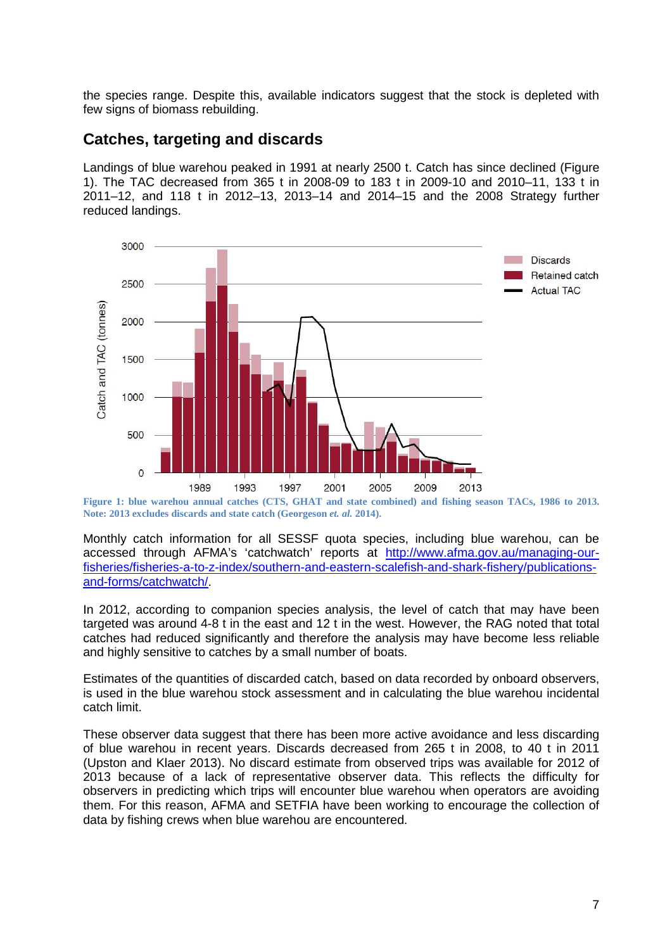the species range. Despite this, available indicators suggest that the stock is depleted with few signs of biomass rebuilding.

#### <span id="page-6-0"></span>**Catches, targeting and discards**

Landings of blue warehou peaked in 1991 at nearly 2500 t. Catch has since declined (Figure 1). The TAC decreased from 365 t in 2008-09 to 183 t in 2009-10 and 2010–11, 133 t in 2011–12, and 118 t in 2012–13, 2013–14 and 2014–15 and the 2008 Strategy further reduced landings.



**Figure 1: blue warehou annual catches (CTS, GHAT and state combined) and fishing season TACs, 1986 to 2013. Note: 2013 excludes discards and state catch (Georgeson** *et. al.* **2014).**

Monthly catch information for all SESSF quota species, including blue warehou, can be accessed through AFMA's 'catchwatch' reports at [http://www.afma.gov.au/managing-our](http://www.afma.gov.au/managing-our-fisheries/fisheries-a-to-z-index/southern-and-eastern-scalefish-and-shark-fishery/publications-and-forms/catchwatch/)[fisheries/fisheries-a-to-z-index/southern-and-eastern-scalefish-and-shark-fishery/publications](http://www.afma.gov.au/managing-our-fisheries/fisheries-a-to-z-index/southern-and-eastern-scalefish-and-shark-fishery/publications-and-forms/catchwatch/)[and-forms/catchwatch/.](http://www.afma.gov.au/managing-our-fisheries/fisheries-a-to-z-index/southern-and-eastern-scalefish-and-shark-fishery/publications-and-forms/catchwatch/)

In 2012, according to companion species analysis, the level of catch that may have been targeted was around 4-8 t in the east and 12 t in the west. However, the RAG noted that total catches had reduced significantly and therefore the analysis may have become less reliable and highly sensitive to catches by a small number of boats.

Estimates of the quantities of discarded catch, based on data recorded by onboard observers, is used in the blue warehou stock assessment and in calculating the blue warehou incidental catch limit.

These observer data suggest that there has been more active avoidance and less discarding of blue warehou in recent years. Discards decreased from 265 t in 2008, to 40 t in 2011 (Upston and Klaer 2013). No discard estimate from observed trips was available for 2012 of 2013 because of a lack of representative observer data. This reflects the difficulty for observers in predicting which trips will encounter blue warehou when operators are avoiding them. For this reason, AFMA and SETFIA have been working to encourage the collection of data by fishing crews when blue warehou are encountered.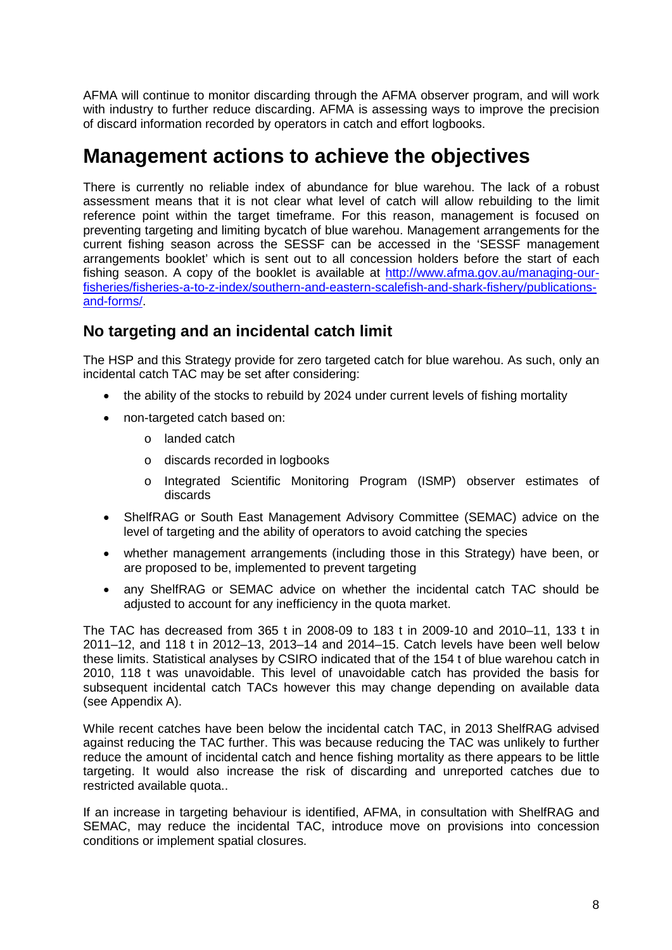AFMA will continue to monitor discarding through the AFMA observer program, and will work with industry to further reduce discarding. AFMA is assessing ways to improve the precision of discard information recorded by operators in catch and effort logbooks.

## <span id="page-7-0"></span>**Management actions to achieve the objectives**

There is currently no reliable index of abundance for blue warehou. The lack of a robust assessment means that it is not clear what level of catch will allow rebuilding to the limit reference point within the target timeframe. For this reason, management is focused on preventing targeting and limiting bycatch of blue warehou. Management arrangements for the current fishing season across the SESSF can be accessed in the 'SESSF management arrangements booklet' which is sent out to all concession holders before the start of each fishing season. A copy of the booklet is available at [http://www.afma.gov.au/managing-our](http://www.afma.gov.au/managing-our-fisheries/fisheries-a-to-z-index/southern-and-eastern-scalefish-and-shark-fishery/publications-and-forms/)[fisheries/fisheries-a-to-z-index/southern-and-eastern-scalefish-and-shark-fishery/publications](http://www.afma.gov.au/managing-our-fisheries/fisheries-a-to-z-index/southern-and-eastern-scalefish-and-shark-fishery/publications-and-forms/)[and-forms/.](http://www.afma.gov.au/managing-our-fisheries/fisheries-a-to-z-index/southern-and-eastern-scalefish-and-shark-fishery/publications-and-forms/)

### <span id="page-7-1"></span>**No targeting and an incidental catch limit**

The HSP and this Strategy provide for zero targeted catch for blue warehou. As such, only an incidental catch TAC may be set after considering:

- the ability of the stocks to rebuild by 2024 under current levels of fishing mortality
- non-targeted catch based on:
	- o landed catch
	- o discards recorded in logbooks
	- o Integrated Scientific Monitoring Program (ISMP) observer estimates of discards
- ShelfRAG or South East Management Advisory Committee (SEMAC) advice on the level of targeting and the ability of operators to avoid catching the species
- whether management arrangements (including those in this Strategy) have been, or are proposed to be, implemented to prevent targeting
- any ShelfRAG or SEMAC advice on whether the incidental catch TAC should be adjusted to account for any inefficiency in the quota market.

The TAC has decreased from 365 t in 2008-09 to 183 t in 2009-10 and 2010–11, 133 t in 2011–12, and 118 t in 2012–13, 2013–14 and 2014–15. Catch levels have been well below these limits. Statistical analyses by CSIRO indicated that of the 154 t of blue warehou catch in 2010, 118 t was unavoidable. This level of unavoidable catch has provided the basis for subsequent incidental catch TACs however this may change depending on available data (see Appendix A).

While recent catches have been below the incidental catch TAC, in 2013 ShelfRAG advised against reducing the TAC further. This was because reducing the TAC was unlikely to further reduce the amount of incidental catch and hence fishing mortality as there appears to be little targeting. It would also increase the risk of discarding and unreported catches due to restricted available quota..

If an increase in targeting behaviour is identified, AFMA, in consultation with ShelfRAG and SEMAC, may reduce the incidental TAC, introduce move on provisions into concession conditions or implement spatial closures.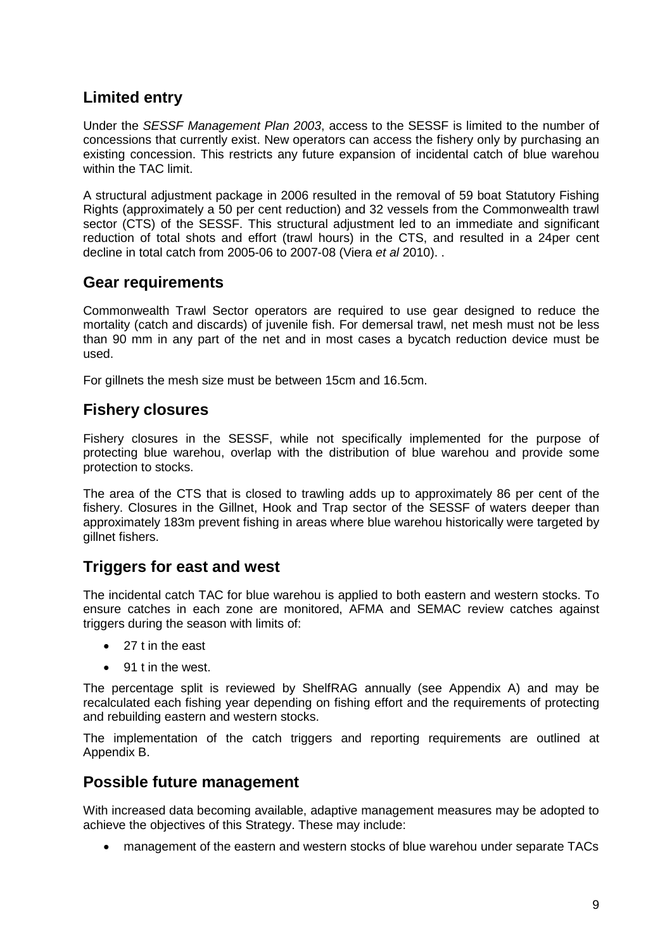### <span id="page-8-0"></span>**Limited entry**

Under the *SESSF Management Plan 2003*, access to the SESSF is limited to the number of concessions that currently exist. New operators can access the fishery only by purchasing an existing concession. This restricts any future expansion of incidental catch of blue warehou within the TAC limit.

A structural adjustment package in 2006 resulted in the removal of 59 boat Statutory Fishing Rights (approximately a 50 per cent reduction) and 32 vessels from the Commonwealth trawl sector (CTS) of the SESSF. This structural adjustment led to an immediate and significant reduction of total shots and effort (trawl hours) in the CTS, and resulted in a 24per cent decline in total catch from 2005-06 to 2007-08 (Viera *et al* 2010). .

#### <span id="page-8-1"></span>**Gear requirements**

Commonwealth Trawl Sector operators are required to use gear designed to reduce the mortality (catch and discards) of juvenile fish. For demersal trawl, net mesh must not be less than 90 mm in any part of the net and in most cases a bycatch reduction device must be used.

<span id="page-8-2"></span>For gillnets the mesh size must be between 15cm and 16.5cm.

#### **Fishery closures**

Fishery closures in the SESSF, while not specifically implemented for the purpose of protecting blue warehou, overlap with the distribution of blue warehou and provide some protection to stocks.

The area of the CTS that is closed to trawling adds up to approximately 86 per cent of the fishery. Closures in the Gillnet, Hook and Trap sector of the SESSF of waters deeper than approximately 183m prevent fishing in areas where blue warehou historically were targeted by gillnet fishers.

### <span id="page-8-3"></span>**Triggers for east and west**

The incidental catch TAC for blue warehou is applied to both eastern and western stocks. To ensure catches in each zone are monitored, AFMA and SEMAC review catches against triggers during the season with limits of:

- 27 t in the east
- 91 t in the west.

The percentage split is reviewed by ShelfRAG annually (see Appendix A) and may be recalculated each fishing year depending on fishing effort and the requirements of protecting and rebuilding eastern and western stocks.

The implementation of the catch triggers and reporting requirements are outlined at Appendix B.

#### <span id="page-8-4"></span>**Possible future management**

With increased data becoming available, adaptive management measures may be adopted to achieve the objectives of this Strategy. These may include:

• management of the eastern and western stocks of blue warehou under separate TACs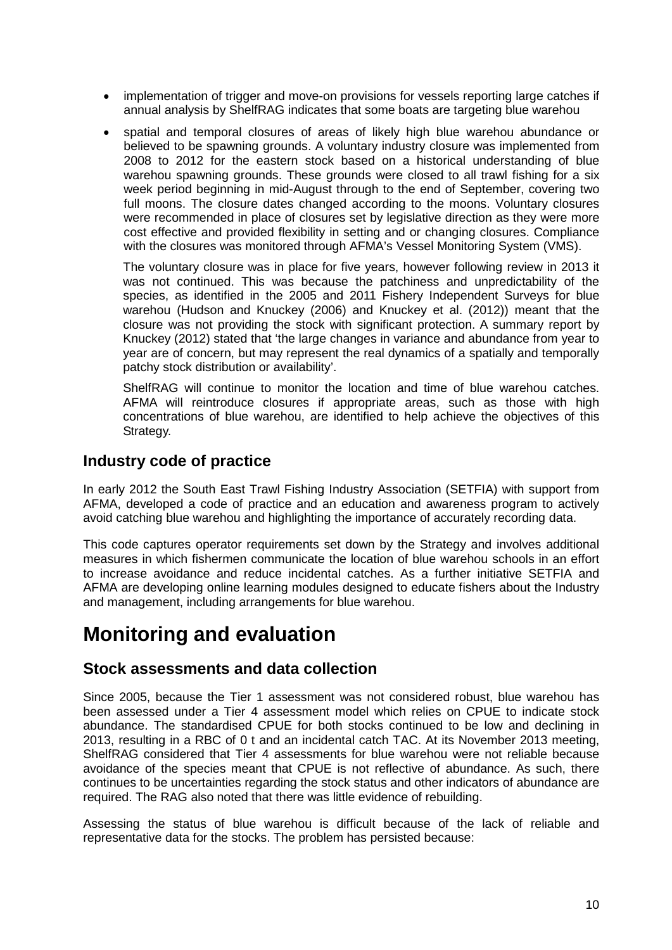- implementation of trigger and move-on provisions for vessels reporting large catches if annual analysis by ShelfRAG indicates that some boats are targeting blue warehou
- spatial and temporal closures of areas of likely high blue warehou abundance or believed to be spawning grounds. A voluntary industry closure was implemented from 2008 to 2012 for the eastern stock based on a historical understanding of blue warehou spawning grounds. These grounds were closed to all trawl fishing for a six week period beginning in mid-August through to the end of September, covering two full moons. The closure dates changed according to the moons. Voluntary closures were recommended in place of closures set by legislative direction as they were more cost effective and provided flexibility in setting and or changing closures. Compliance with the closures was monitored through AFMA's Vessel Monitoring System (VMS).

The voluntary closure was in place for five years, however following review in 2013 it was not continued. This was because the patchiness and unpredictability of the species, as identified in the 2005 and 2011 Fishery Independent Surveys for blue warehou (Hudson and Knuckey (2006) and Knuckey et al. (2012)) meant that the closure was not providing the stock with significant protection. A summary report by Knuckey (2012) stated that 'the large changes in variance and abundance from year to year are of concern, but may represent the real dynamics of a spatially and temporally patchy stock distribution or availability'.

ShelfRAG will continue to monitor the location and time of blue warehou catches. AFMA will reintroduce closures if appropriate areas, such as those with high concentrations of blue warehou, are identified to help achieve the objectives of this Strategy.

#### <span id="page-9-0"></span>**Industry code of practice**

In early 2012 the South East Trawl Fishing Industry Association (SETFIA) with support from AFMA, developed a code of practice and an education and awareness program to actively avoid catching blue warehou and highlighting the importance of accurately recording data.

This code captures operator requirements set down by the Strategy and involves additional measures in which fishermen communicate the location of blue warehou schools in an effort to increase avoidance and reduce incidental catches. As a further initiative SETFIA and AFMA are developing online learning modules designed to educate fishers about the Industry and management, including arrangements for blue warehou.

## <span id="page-9-1"></span>**Monitoring and evaluation**

#### <span id="page-9-2"></span>**Stock assessments and data collection**

Since 2005, because the Tier 1 assessment was not considered robust, blue warehou has been assessed under a Tier 4 assessment model which relies on CPUE to indicate stock abundance. The standardised CPUE for both stocks continued to be low and declining in 2013, resulting in a RBC of 0 t and an incidental catch TAC. At its November 2013 meeting, ShelfRAG considered that Tier 4 assessments for blue warehou were not reliable because avoidance of the species meant that CPUE is not reflective of abundance. As such, there continues to be uncertainties regarding the stock status and other indicators of abundance are required. The RAG also noted that there was little evidence of rebuilding.

Assessing the status of blue warehou is difficult because of the lack of reliable and representative data for the stocks. The problem has persisted because: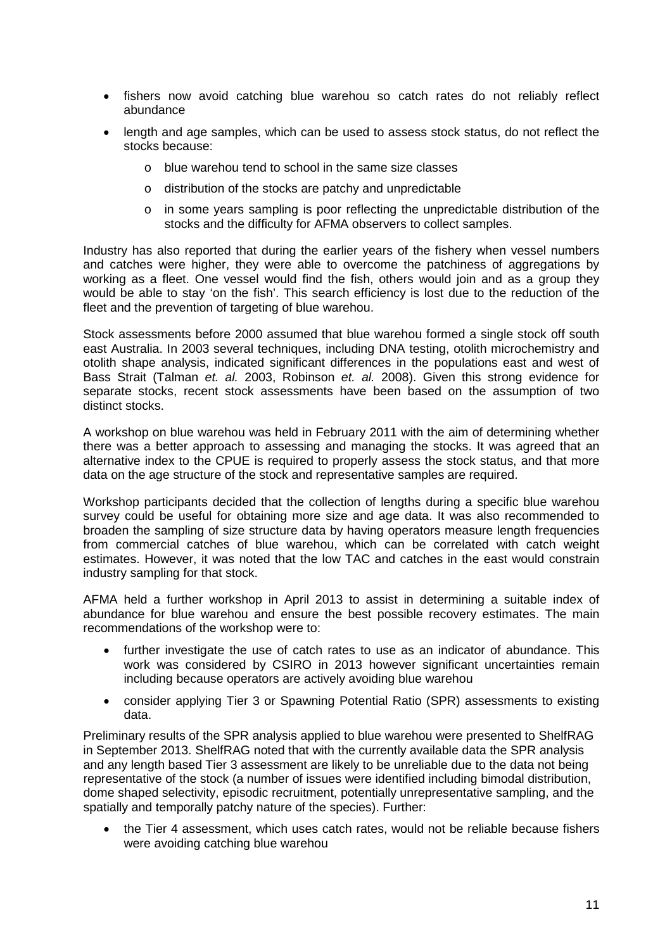- fishers now avoid catching blue warehou so catch rates do not reliably reflect abundance
- length and age samples, which can be used to assess stock status, do not reflect the stocks because:
	- o blue warehou tend to school in the same size classes
	- o distribution of the stocks are patchy and unpredictable
	- o in some years sampling is poor reflecting the unpredictable distribution of the stocks and the difficulty for AFMA observers to collect samples.

Industry has also reported that during the earlier years of the fishery when vessel numbers and catches were higher, they were able to overcome the patchiness of aggregations by working as a fleet. One vessel would find the fish, others would join and as a group they would be able to stay 'on the fish'. This search efficiency is lost due to the reduction of the fleet and the prevention of targeting of blue warehou.

Stock assessments before 2000 assumed that blue warehou formed a single stock off south east Australia. In 2003 several techniques, including DNA testing, otolith microchemistry and otolith shape analysis, indicated significant differences in the populations east and west of Bass Strait (Talman *et. al.* 2003, Robinson *et. al.* 2008). Given this strong evidence for separate stocks, recent stock assessments have been based on the assumption of two distinct stocks.

A workshop on blue warehou was held in February 2011 with the aim of determining whether there was a better approach to assessing and managing the stocks. It was agreed that an alternative index to the CPUE is required to properly assess the stock status, and that more data on the age structure of the stock and representative samples are required.

Workshop participants decided that the collection of lengths during a specific blue warehou survey could be useful for obtaining more size and age data. It was also recommended to broaden the sampling of size structure data by having operators measure length frequencies from commercial catches of blue warehou, which can be correlated with catch weight estimates. However, it was noted that the low TAC and catches in the east would constrain industry sampling for that stock.

AFMA held a further workshop in April 2013 to assist in determining a suitable index of abundance for blue warehou and ensure the best possible recovery estimates. The main recommendations of the workshop were to:

- further investigate the use of catch rates to use as an indicator of abundance. This work was considered by CSIRO in 2013 however significant uncertainties remain including because operators are actively avoiding blue warehou
- consider applying Tier 3 or Spawning Potential Ratio (SPR) assessments to existing data.

Preliminary results of the SPR analysis applied to blue warehou were presented to ShelfRAG in September 2013. ShelfRAG noted that with the currently available data the SPR analysis and any length based Tier 3 assessment are likely to be unreliable due to the data not being representative of the stock (a number of issues were identified including bimodal distribution, dome shaped selectivity, episodic recruitment, potentially unrepresentative sampling, and the spatially and temporally patchy nature of the species). Further:

• the Tier 4 assessment, which uses catch rates, would not be reliable because fishers were avoiding catching blue warehou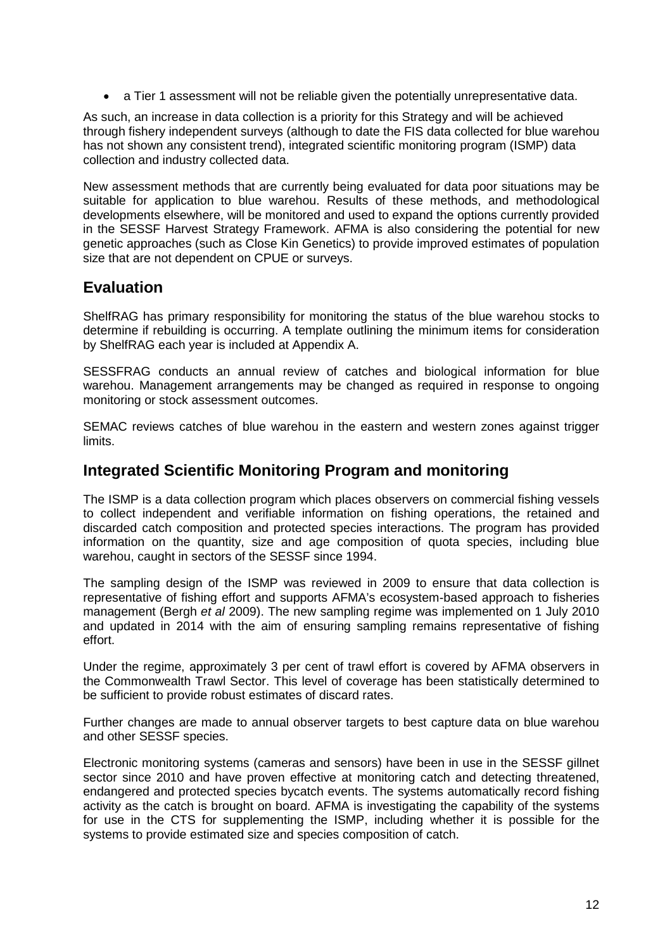• a Tier 1 assessment will not be reliable given the potentially unrepresentative data.

As such, an increase in data collection is a priority for this Strategy and will be achieved through fishery independent surveys (although to date the FIS data collected for blue warehou has not shown any consistent trend), integrated scientific monitoring program (ISMP) data collection and industry collected data.

New assessment methods that are currently being evaluated for data poor situations may be suitable for application to blue warehou. Results of these methods, and methodological developments elsewhere, will be monitored and used to expand the options currently provided in the SESSF Harvest Strategy Framework. AFMA is also considering the potential for new genetic approaches (such as Close Kin Genetics) to provide improved estimates of population size that are not dependent on CPUE or surveys.

#### <span id="page-11-0"></span>**Evaluation**

ShelfRAG has primary responsibility for monitoring the status of the blue warehou stocks to determine if rebuilding is occurring. A template outlining the minimum items for consideration by ShelfRAG each year is included at Appendix A.

SESSFRAG conducts an annual review of catches and biological information for blue warehou. Management arrangements may be changed as required in response to ongoing monitoring or stock assessment outcomes.

SEMAC reviews catches of blue warehou in the eastern and western zones against trigger limits.

#### <span id="page-11-1"></span>**Integrated Scientific Monitoring Program and monitoring**

The ISMP is a data collection program which places observers on commercial fishing vessels to collect independent and verifiable information on fishing operations, the retained and discarded catch composition and protected species interactions. The program has provided information on the quantity, size and age composition of quota species, including blue warehou, caught in sectors of the SESSF since 1994.

The sampling design of the ISMP was reviewed in 2009 to ensure that data collection is representative of fishing effort and supports AFMA's ecosystem-based approach to fisheries management (Bergh *et al* 2009). The new sampling regime was implemented on 1 July 2010 and updated in 2014 with the aim of ensuring sampling remains representative of fishing effort.

Under the regime, approximately 3 per cent of trawl effort is covered by AFMA observers in the Commonwealth Trawl Sector. This level of coverage has been statistically determined to be sufficient to provide robust estimates of discard rates.

Further changes are made to annual observer targets to best capture data on blue warehou and other SESSF species.

Electronic monitoring systems (cameras and sensors) have been in use in the SESSF gillnet sector since 2010 and have proven effective at monitoring catch and detecting threatened, endangered and protected species bycatch events. The systems automatically record fishing activity as the catch is brought on board. AFMA is investigating the capability of the systems for use in the CTS for supplementing the ISMP, including whether it is possible for the systems to provide estimated size and species composition of catch.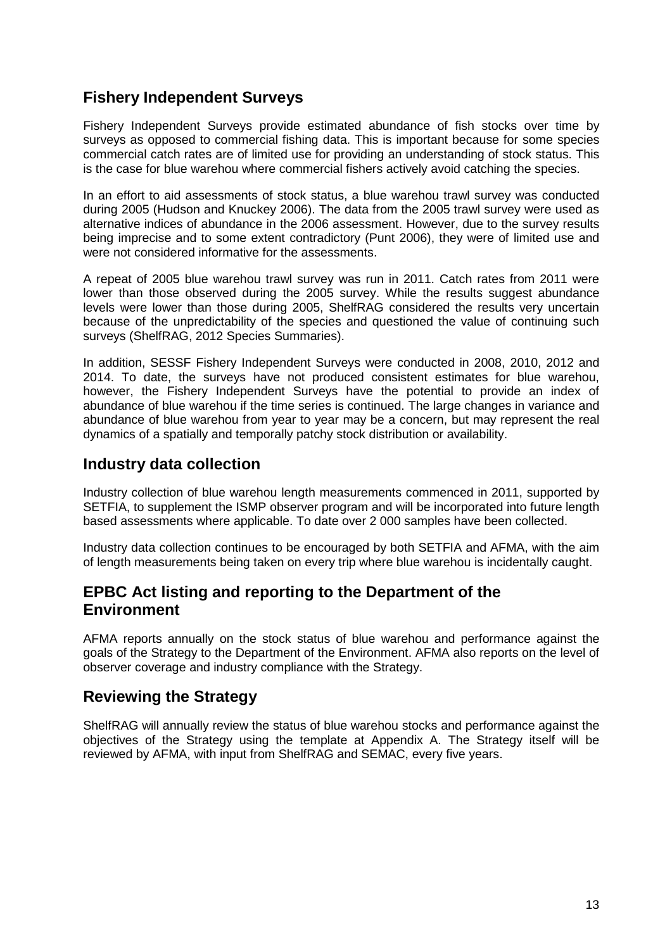### <span id="page-12-0"></span>**Fishery Independent Surveys**

Fishery Independent Surveys provide estimated abundance of fish stocks over time by surveys as opposed to commercial fishing data. This is important because for some species commercial catch rates are of limited use for providing an understanding of stock status. This is the case for blue warehou where commercial fishers actively avoid catching the species.

In an effort to aid assessments of stock status, a blue warehou trawl survey was conducted during 2005 (Hudson and Knuckey 2006). The data from the 2005 trawl survey were used as alternative indices of abundance in the 2006 assessment. However, due to the survey results being imprecise and to some extent contradictory (Punt 2006), they were of limited use and were not considered informative for the assessments.

A repeat of 2005 blue warehou trawl survey was run in 2011. Catch rates from 2011 were lower than those observed during the 2005 survey. While the results suggest abundance levels were lower than those during 2005, ShelfRAG considered the results very uncertain because of the unpredictability of the species and questioned the value of continuing such surveys (ShelfRAG, 2012 Species Summaries).

In addition, SESSF Fishery Independent Surveys were conducted in 2008, 2010, 2012 and 2014. To date, the surveys have not produced consistent estimates for blue warehou, however, the Fishery Independent Surveys have the potential to provide an index of abundance of blue warehou if the time series is continued. The large changes in variance and abundance of blue warehou from year to year may be a concern, but may represent the real dynamics of a spatially and temporally patchy stock distribution or availability.

#### <span id="page-12-1"></span>**Industry data collection**

Industry collection of blue warehou length measurements commenced in 2011, supported by SETFIA, to supplement the ISMP observer program and will be incorporated into future length based assessments where applicable. To date over 2 000 samples have been collected.

Industry data collection continues to be encouraged by both SETFIA and AFMA, with the aim of length measurements being taken on every trip where blue warehou is incidentally caught.

#### <span id="page-12-2"></span>**EPBC Act listing and reporting to the Department of the Environment**

AFMA reports annually on the stock status of blue warehou and performance against the goals of the Strategy to the Department of the Environment. AFMA also reports on the level of observer coverage and industry compliance with the Strategy.

### <span id="page-12-3"></span>**Reviewing the Strategy**

ShelfRAG will annually review the status of blue warehou stocks and performance against the objectives of the Strategy using the template at Appendix A. The Strategy itself will be reviewed by AFMA, with input from ShelfRAG and SEMAC, every five years.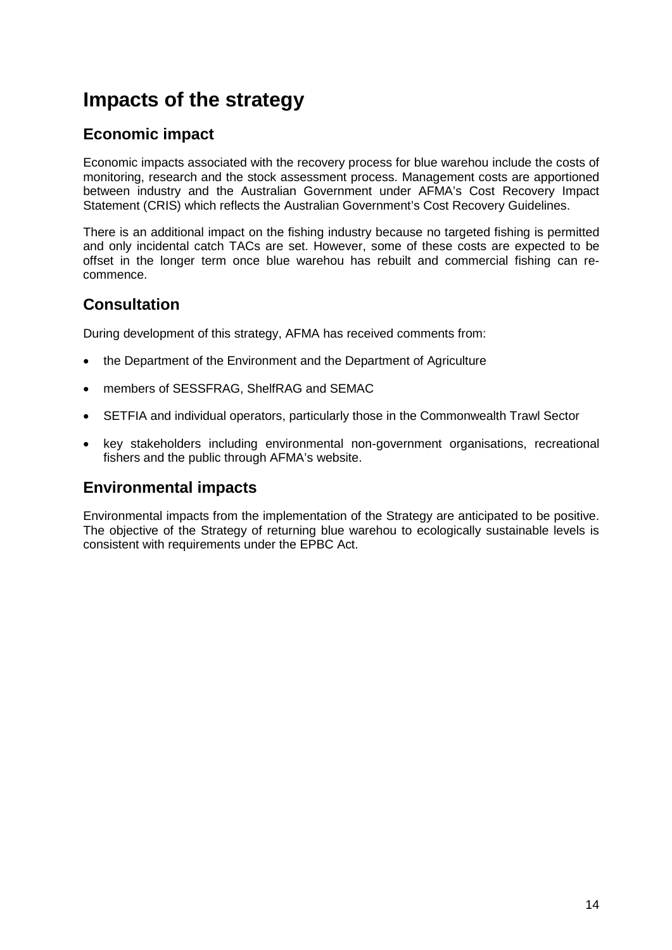## <span id="page-13-0"></span>**Impacts of the strategy**

### <span id="page-13-1"></span>**Economic impact**

Economic impacts associated with the recovery process for blue warehou include the costs of monitoring, research and the stock assessment process. Management costs are apportioned between industry and the Australian Government under AFMA's Cost Recovery Impact Statement (CRIS) which reflects the Australian Government's Cost Recovery Guidelines.

There is an additional impact on the fishing industry because no targeted fishing is permitted and only incidental catch TACs are set. However, some of these costs are expected to be offset in the longer term once blue warehou has rebuilt and commercial fishing can recommence.

### <span id="page-13-2"></span>**Consultation**

During development of this strategy, AFMA has received comments from:

- the Department of the Environment and the Department of Agriculture
- members of SESSFRAG, ShelfRAG and SEMAC
- SETFIA and individual operators, particularly those in the Commonwealth Trawl Sector
- key stakeholders including environmental non-government organisations, recreational fishers and the public through AFMA's website.

### <span id="page-13-3"></span>**Environmental impacts**

Environmental impacts from the implementation of the Strategy are anticipated to be positive. The objective of the Strategy of returning blue warehou to ecologically sustainable levels is consistent with requirements under the EPBC Act.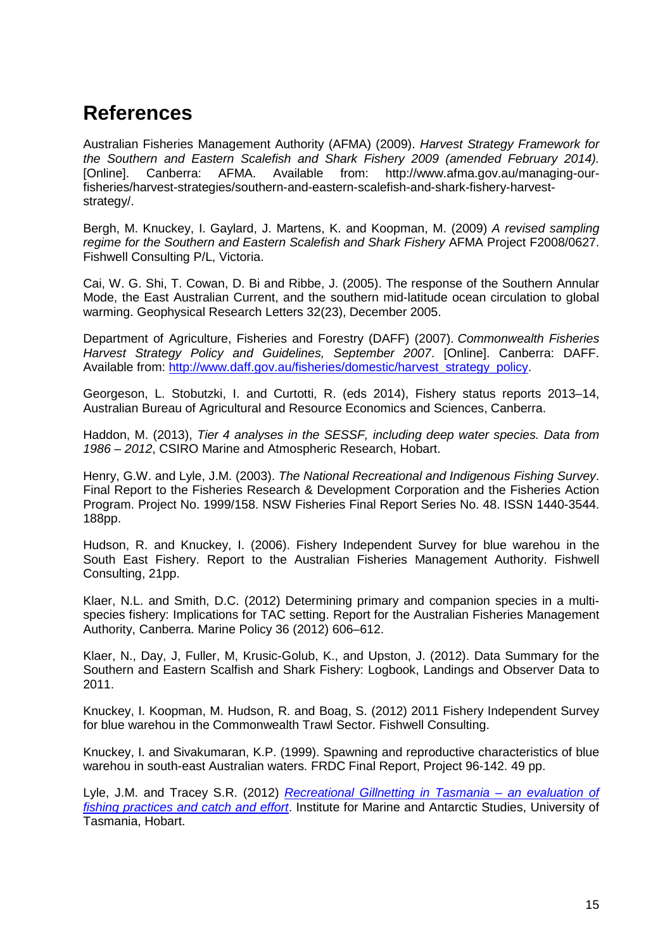## <span id="page-14-0"></span>**References**

Australian Fisheries Management Authority (AFMA) (2009). *Harvest Strategy Framework for the Southern and Eastern Scalefish and Shark Fishery 2009 (amended February 2014).* [Online]. Canberra: AFMA. Available from: http://www.afma.gov.au/managing-ourfisheries/harvest-strategies/southern-and-eastern-scalefish-and-shark-fishery-harveststrategy/.

Bergh, M. Knuckey, I. Gaylard, J. Martens, K. and Koopman, M. (2009) *A revised sampling regime for the Southern and Eastern Scalefish and Shark Fishery* AFMA Project F2008/0627. Fishwell Consulting P/L, Victoria.

Cai, W. G. Shi, T. Cowan, D. Bi and Ribbe, J. (2005). The response of the Southern Annular Mode, the East Australian Current, and the southern mid-latitude ocean circulation to global warming. Geophysical Research Letters 32(23), December 2005.

Department of Agriculture, Fisheries and Forestry (DAFF) (2007). *Commonwealth Fisheries Harvest Strategy Policy and Guidelines, September 2007*. [Online]. Canberra: DAFF. Available from: [http://www.daff.gov.au/fisheries/domestic/harvest\\_strategy\\_policy.](http://www.daff.gov.au/fisheries/domestic/harvest_strategy_policy)

Georgeson, L. Stobutzki, I. and Curtotti, R. (eds 2014), Fishery status reports 2013–14, Australian Bureau of Agricultural and Resource Economics and Sciences, Canberra.

Haddon, M. (2013), *Tier 4 analyses in the SESSF, including deep water species. Data from 1986 – 2012*, CSIRO Marine and Atmospheric Research, Hobart.

Henry, G.W. and Lyle, J.M. (2003). *The National Recreational and Indigenous Fishing Survey*. Final Report to the Fisheries Research & Development Corporation and the Fisheries Action Program. Project No. 1999/158. NSW Fisheries Final Report Series No. 48. ISSN 1440-3544. 188pp.

Hudson, R. and Knuckey, I. (2006). Fishery Independent Survey for blue warehou in the South East Fishery. Report to the Australian Fisheries Management Authority. Fishwell Consulting, 21pp.

Klaer, N.L. and Smith, D.C. (2012) Determining primary and companion species in a multispecies fishery: Implications for TAC setting. Report for the Australian Fisheries Management Authority, Canberra. Marine Policy 36 (2012) 606–612.

Klaer, N., Day, J, Fuller, M, Krusic-Golub, K., and Upston, J. (2012). Data Summary for the Southern and Eastern Scalfish and Shark Fishery: Logbook, Landings and Observer Data to 2011.

Knuckey, I. Koopman, M. Hudson, R. and Boag, S. (2012) 2011 Fishery Independent Survey for blue warehou in the Commonwealth Trawl Sector. Fishwell Consulting.

Knuckey, I. and Sivakumaran, K.P. (1999). Spawning and reproductive characteristics of blue warehou in south-east Australian waters. FRDC Final Report, Project 96-142. 49 pp.

Lyle, J.M. and Tracey S.R. (2012) *[Recreational Gillnetting in Tasmania –](http://www.imas.utas.edu.au/__data/assets/pdf_file/0011/534908/FISHWISE_Rec-gillnet-survey-2010.pdf) an evaluation of [fishing practices and catch and effort](http://www.imas.utas.edu.au/__data/assets/pdf_file/0011/534908/FISHWISE_Rec-gillnet-survey-2010.pdf)*. Institute for Marine and Antarctic Studies, University of Tasmania, Hobart.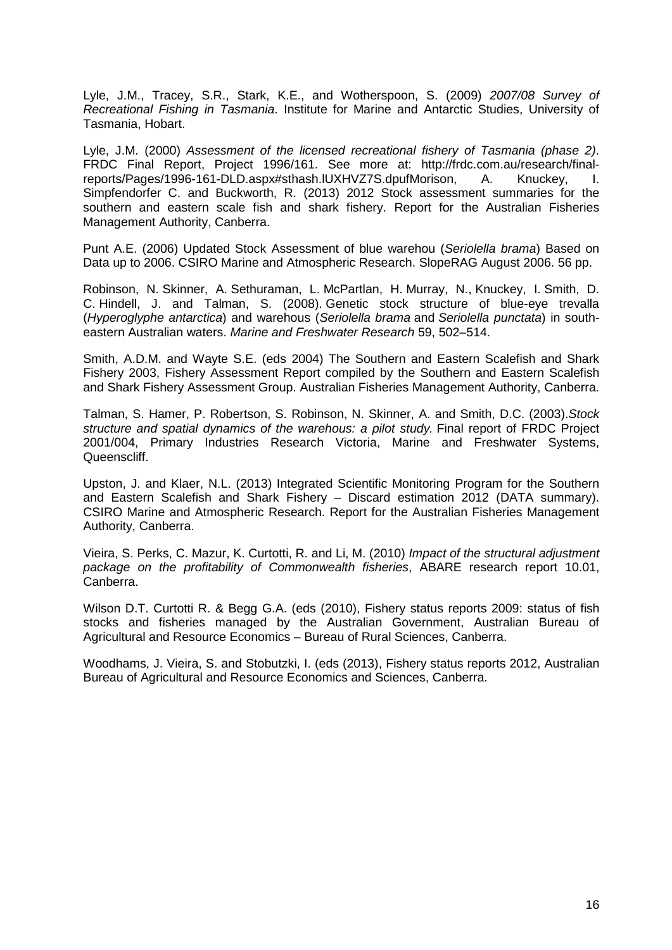Lyle, J.M., Tracey, S.R., Stark, K.E., and Wotherspoon, S. (2009) *2007/08 Survey of Recreational Fishing in Tasmania*. Institute for Marine and Antarctic Studies, University of Tasmania, Hobart.

Lyle, J.M. (2000) *Assessment of the licensed recreational fishery of Tasmania (phase 2)*. FRDC Final Report, Project 1996/161. See more at: http://frdc.com.au/research/finalreports/Pages/1996-161-DLD.aspx#sthash.IUXHVZ7S.dpufMorison, A. Knuckey, I. Simpfendorfer C. and Buckworth, R. (2013) 2012 Stock assessment summaries for the southern and eastern scale fish and shark fishery. Report for the Australian Fisheries Management Authority, Canberra.

Punt A.E. (2006) Updated Stock Assessment of blue warehou (*Seriolella brama*) Based on Data up to 2006. CSIRO Marine and Atmospheric Research. SlopeRAG August 2006. 56 pp.

Robinson, N. Skinner, A. Sethuraman, L. McPartlan, H. Murray, N., Knuckey, I. Smith, D. C. Hindell, J. and Talman, S. (2008). Genetic stock structure of blue-eye trevalla (*Hyperoglyphe antarctica*) and warehous (*Seriolella brama* and *Seriolella punctata*) in southeastern Australian waters. *Marine and Freshwater Research* 59, 502–514.

Smith, A.D.M. and Wayte S.E. (eds 2004) The Southern and Eastern Scalefish and Shark Fishery 2003, Fishery Assessment Report compiled by the Southern and Eastern Scalefish and Shark Fishery Assessment Group. Australian Fisheries Management Authority, Canberra.

Talman, S. Hamer, P. Robertson, S. Robinson, N. Skinner, A. and Smith, D.C. (2003).*Stock structure and spatial dynamics of the warehous: a pilot study.* Final report of FRDC Project 2001/004, Primary Industries Research Victoria, Marine and Freshwater Systems, Queenscliff.

Upston, J. and Klaer, N.L. (2013) Integrated Scientific Monitoring Program for the Southern and Eastern Scalefish and Shark Fishery – Discard estimation 2012 (DATA summary). CSIRO Marine and Atmospheric Research. Report for the Australian Fisheries Management Authority, Canberra.

Vieira, S. Perks, C. Mazur, K. Curtotti, R. and Li, M. (2010) *Impact of the structural adjustment package on the profitability of Commonwealth fisheries*, ABARE research report 10.01, Canberra.

Wilson D.T. Curtotti R. & Begg G.A. (eds (2010), Fishery status reports 2009: status of fish stocks and fisheries managed by the Australian Government, Australian Bureau of Agricultural and Resource Economics – Bureau of Rural Sciences, Canberra.

Woodhams, J. Vieira, S. and Stobutzki, I. (eds (2013), Fishery status reports 2012, Australian Bureau of Agricultural and Resource Economics and Sciences, Canberra.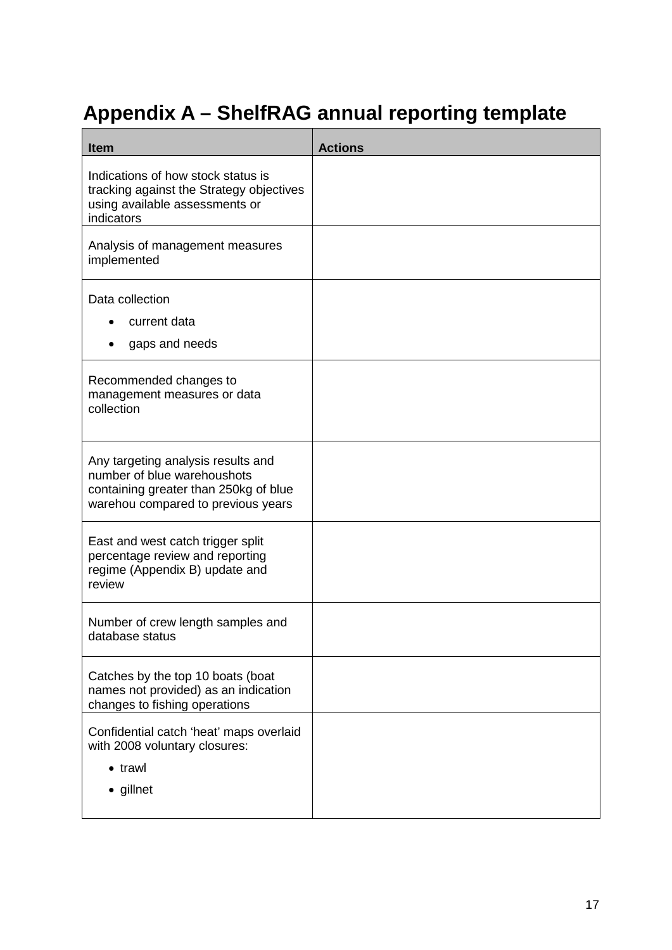# <span id="page-16-0"></span>**Appendix A – ShelfRAG annual reporting template**

| <b>Item</b>                                                                                                                                      | <b>Actions</b> |
|--------------------------------------------------------------------------------------------------------------------------------------------------|----------------|
| Indications of how stock status is<br>tracking against the Strategy objectives<br>using available assessments or<br>indicators                   |                |
| Analysis of management measures<br>implemented                                                                                                   |                |
| Data collection<br>current data<br>gaps and needs                                                                                                |                |
| Recommended changes to<br>management measures or data<br>collection                                                                              |                |
| Any targeting analysis results and<br>number of blue warehoushots<br>containing greater than 250kg of blue<br>warehou compared to previous years |                |
| East and west catch trigger split<br>percentage review and reporting<br>regime (Appendix B) update and<br>review                                 |                |
| Number of crew length samples and<br>database status                                                                                             |                |
| Catches by the top 10 boats (boat<br>names not provided) as an indication<br>changes to fishing operations                                       |                |
| Confidential catch 'heat' maps overlaid<br>with 2008 voluntary closures:<br>$\bullet$ trawl<br>• gillnet                                         |                |